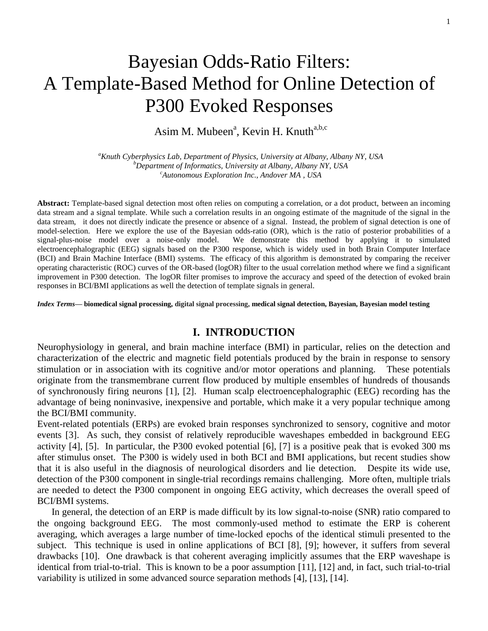# Bayesian Odds-Ratio Filters: A Template-Based Method for Online Detection of P300 Evoked Responses

Asim M. Mubeen<sup>a</sup>, Kevin H. Knuth<sup>a,b,c</sup>

*<sup>a</sup>Knuth Cyberphysics Lab, Department of Physics, University at Albany, Albany NY, USA <sup>b</sup>Department of Informatics, University at Albany, Albany NY, USA <sup>c</sup>Autonomous Exploration Inc., Andover MA , USA*

**Abstract:** Template-based signal detection most often relies on computing a correlation, or a dot product, between an incoming data stream and a signal template. While such a correlation results in an ongoing estimate of the magnitude of the signal in the data stream, it does not directly indicate the presence or absence of a signal. Instead, the problem of signal detection is one of model-selection. Here we explore the use of the Bayesian odds-ratio (OR), which is the ratio of posterior probabilities of a signal-plus-noise model over a noise-only model. We demonstrate this method by applying it to simulated electroencephalographic (EEG) signals based on the P300 response, which is widely used in both Brain Computer Interface (BCI) and Brain Machine Interface (BMI) systems. The efficacy of this algorithm is demonstrated by comparing the receiver operating characteristic (ROC) curves of the OR-based (logOR) filter to the usual correlation method where we find a significant improvement in P300 detection. The logOR filter promises to improve the accuracy and speed of the detection of evoked brain responses in BCI/BMI applications as well the detection of template signals in general.

*Index Terms***— biomedical signal processing, digital signal processing, medical signal detection, Bayesian, Bayesian model testing**

# **I. INTRODUCTION**

Neurophysiology in general, and brain machine interface (BMI) in particular, relies on the detection and characterization of the electric and magnetic field potentials produced by the brain in response to sensory stimulation or in association with its cognitive and/or motor operations and planning. These potentials originate from the transmembrane current flow produced by multiple ensembles of hundreds of thousands of synchronously firing neurons [1], [2]. Human scalp electroencephalographic (EEG) recording has the advantage of being noninvasive, inexpensive and portable, which make it a very popular technique among the BCI/BMI community.

Event-related potentials (ERPs) are evoked brain responses synchronized to sensory, cognitive and motor events [3]. As such, they consist of relatively reproducible waveshapes embedded in background EEG activity [4], [5]. In particular, the P300 evoked potential [6], [7] is a positive peak that is evoked 300 ms after stimulus onset. The P300 is widely used in both BCI and BMI applications, but recent studies show that it is also useful in the diagnosis of neurological disorders and lie detection. Despite its wide use, detection of the P300 component in single-trial recordings remains challenging. More often, multiple trials are needed to detect the P300 component in ongoing EEG activity, which decreases the overall speed of BCI/BMI systems.

In general, the detection of an ERP is made difficult by its low signal-to-noise (SNR) ratio compared to the ongoing background EEG. The most commonly-used method to estimate the ERP is coherent averaging, which averages a large number of time-locked epochs of the identical stimuli presented to the subject. This technique is used in online applications of BCI [8], [9]; however, it suffers from several drawbacks [10]. One drawback is that coherent averaging implicitly assumes that the ERP waveshape is identical from trial-to-trial. This is known to be a poor assumption [11], [12] and, in fact, such trial-to-trial variability is utilized in some advanced source separation methods [4], [13], [14].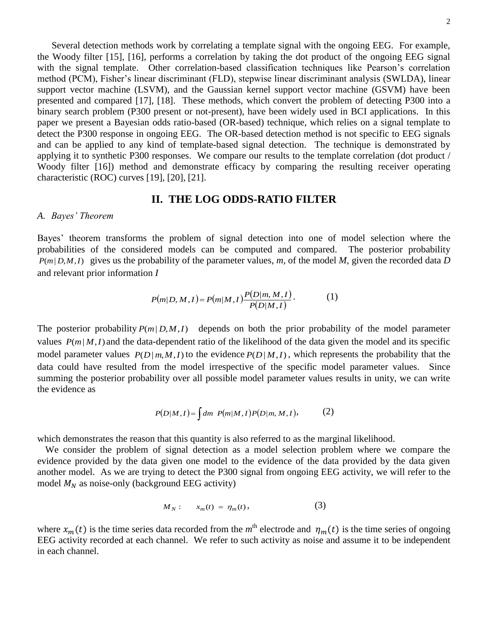Several detection methods work by correlating a template signal with the ongoing EEG. For example, the Woody filter [15], [16], performs a correlation by taking the dot product of the ongoing EEG signal with the signal template. Other correlation-based classification techniques like Pearson's correlation method (PCM), Fisher's linear discriminant (FLD), stepwise linear discriminant analysis (SWLDA), linear support vector machine (LSVM), and the Gaussian kernel support vector machine (GSVM) have been presented and compared [17], [18]. These methods, which convert the problem of detecting P300 into a binary search problem (P300 present or not-present), have been widely used in BCI applications. In this paper we present a Bayesian odds ratio-based (OR-based) technique, which relies on a signal template to detect the P300 response in ongoing EEG. The OR-based detection method is not specific to EEG signals and can be applied to any kind of template-based signal detection. The technique is demonstrated by applying it to synthetic P300 responses. We compare our results to the template correlation (dot product / Woody filter [16]) method and demonstrate efficacy by comparing the resulting receiver operating characteristic (ROC) curves [19], [20], [21].

## **II. THE LOG ODDS-RATIO FILTER**

### *A. Bayes' Theorem*

Bayes' theorem transforms the problem of signal detection into one of model selection where the probabilities of the considered models can be computed and compared. The posterior probability  $P(m|D,M,I)$  gives us the probability of the parameter values, *m*, of the model *M*, given the recorded data *D* and relevant prior information *I*

$$
P(m|D, M, I) = P(m|M, I) \frac{P(D|m, M, I)}{P(D|M, I)}.
$$
 (1)

The posterior probability  $P(m|D,M,I)$  depends on both the prior probability of the model parameter values  $P(m|M,I)$  and the data-dependent ratio of the likelihood of the data given the model and its specific model parameter values  $P(D|m, M, I)$  to the evidence  $P(D|M, I)$ , which represents the probability that the data could have resulted from the model irrespective of the specific model parameter values. Since summing the posterior probability over all possible model parameter values results in unity, we can write the evidence as

$$
P(D|M,I) = \int dm \ P(m|M,I) P(D|m,M,I), \tag{2}
$$

which demonstrates the reason that this quantity is also referred to as the marginal likelihood.

We consider the problem of signal detection as a model selection problem where we compare the evidence provided by the data given one model to the evidence of the data provided by the data given another model. As we are trying to detect the P300 signal from ongoing EEG activity, we will refer to the model  $M_N$  as noise-only (background EEG activity)

$$
M_N: \t x_m(t) = \eta_m(t), \t(3)
$$

where  $x_m(t)$  is the time series data recorded from the  $m^{\text{th}}$  electrode and  $\eta_m(t)$  is the time series of ongoing EEG activity recorded at each channel. We refer to such activity as noise and assume it to be independent in each channel.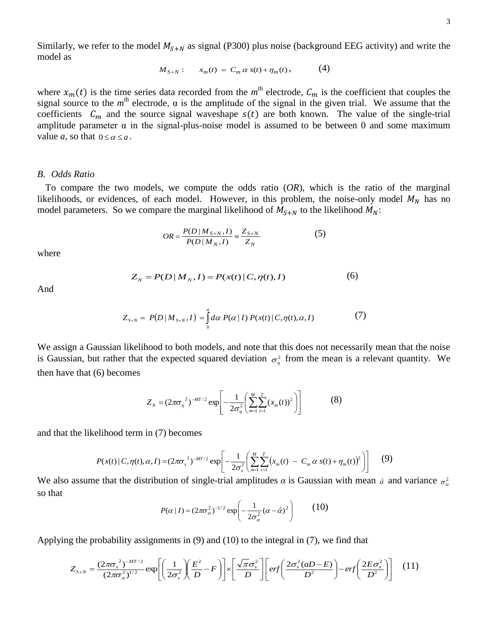3

Similarly, we refer to the model  $M_{S+N}$  as signal (P300) plus noise (background EEG activity) and write the model as

$$
M_{S+N}: \t x_m(t) = C_m \alpha s(t) + \eta_m(t), \t (4)
$$

where  $x_m(t)$  is the time series data recorded from the  $m^{\text{th}}$  electrode,  $C_m$  is the coefficient that couples the signal source to the  $m^{\text{th}}$  electrode,  $\alpha$  is the amplitude of the signal in the given trial. We assume that the coefficients  $C_m$  and the source signal waveshape  $s(t)$  are both known. The value of the single-trial amplitude parameter  $\alpha$  in the signal-plus-noise model is assumed to be between 0 and some maximum value *a*, so that  $0 \le \alpha \le a$ .

#### *B. Odds Ratio*

To compare the two models, we compute the odds ratio (*OR*), which is the ratio of the marginal likelihoods, or evidences, of each model. However, in this problem, the noise-only model  $M_N$  has no model parameters. So we compare the marginal likelihood of  $M_{S+N}$  to the likelihood  $M_N$ :

$$
OR = \frac{P(D \mid M_{S+N}, I)}{P(D \mid M_N, I)} = \frac{Z_{S+N}}{Z_N}
$$
(5)

where

$$
Z_N = P(D \, | \, M_N, I) = P(x(t) \, | \, C, \eta(t), I) \tag{6}
$$

And

$$
Z_{S+N} = P(D \mid M_{S+N}, I) = \int_{0}^{a} d\alpha \ P(\alpha \mid I) \ P(x(t) \mid C, \eta(t), \alpha, I) \tag{7}
$$

We assign a Gaussian likelihood to both models, and note that this does not necessarily mean that the noise is Gaussian, but rather that the expected squared deviation  $\sigma_{\eta}^2$  from the mean is a relevant quantity. We then have that (6) becomes

$$
Z_N = (2\pi\sigma_n^2)^{-MT/2} \exp\left[-\frac{1}{2\sigma_n^2} \left(\sum_{m=1}^M \sum_{t=1}^T (x_m(t))^2\right)\right]
$$
(8)

and that the likelihood term in (7) becomes

$$
P(x(t) | C, \eta(t), \alpha, I) = (2\pi\sigma_s^2)^{-MT/2} \exp \left[ -\frac{1}{2\sigma_s^2} \left( \sum_{m=1}^M \sum_{t=1}^T \left( x_m(t) - C_m \alpha s(t) + \eta_m(t) \right)^2 \right) \right] \tag{9}
$$

We also assume that the distribution of single-trial amplitudes  $\alpha$  is Gaussian with mean  $\alpha$  and variance  $\sigma_{\alpha}^2$ so that

$$
P(\alpha \mid I) = (2\pi\sigma_{\alpha}^{2})^{-1/2} \exp\left(-\frac{1}{2\sigma_{\alpha}^{2}}(\alpha - \hat{\alpha})^{2}\right) \quad (10)
$$

Applying the probability assignments in  $(9)$  and  $(10)$  to the integral in  $(7)$ , we find that

$$
Z_{S+N} = \frac{(2\pi\sigma_s^2)^{-MT/2}}{(2\pi\sigma_\alpha^2)^{1/2}} \exp\left[\left(\frac{1}{2\sigma_s^2}\right)\left(\frac{E^2}{D} - F\right)\right] \times \left[\frac{\sqrt{\pi}\sigma_s^2}{D}\right] \left[ erf\left(\frac{2\sigma_s^2(aD - E)}{D^2}\right) - erf\left(\frac{2E\sigma_s^2}{D^2}\right)\right] \tag{11}
$$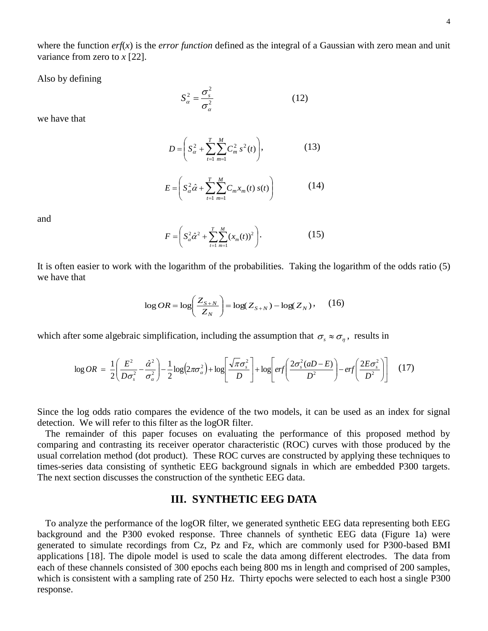where the function *erf*(*x*) is the *error function* defined as the integral of a Gaussian with zero mean and unit variance from zero to *x* [22].

Also by defining

2  $_2$   $_2$   $\sigma_s^2$ α  $S_{\alpha}^2 = \frac{\sigma_s^2}{\sigma_s^2}$ (12)

we have that

$$
D = \left( S_{\alpha}^2 + \sum_{t=1}^{T} \sum_{m=1}^{M} C_m^2 s^2(t) \right), \tag{13}
$$

$$
E = \left( S_{\alpha}^{2} \hat{\alpha} + \sum_{t=1}^{T} \sum_{m=1}^{M} C_{m} x_{m}(t) \, s(t) \right) \tag{14}
$$

and

$$
F = \left( S_{\alpha}^{2} \hat{\alpha}^{2} + \sum_{t=1}^{T} \sum_{m=1}^{M} (x_{m}(t))^{2} \right).
$$
 (15)

It is often easier to work with the logarithm of the probabilities. Taking the logarithm of the odds ratio (5) we have that

$$
\log OR = \log\left(\frac{Z_{S+N}}{Z_N}\right) = \log(Z_{S+N}) - \log(Z_N), \quad (16)
$$

which after some algebraic simplification, including the assumption that  $\sigma_s \approx \sigma_\eta$ , results in

$$
\log OR = \frac{1}{2} \left( \frac{E^2}{D\sigma_s^2} - \frac{\hat{\alpha}^2}{\sigma_a^2} \right) - \frac{1}{2} \log \left( 2\pi \sigma_a^2 \right) + \log \left[ \frac{\sqrt{\pi} \sigma_s^2}{D} \right] + \log \left[ erf \left( \frac{2\sigma_s^2 (aD - E)}{D^2} \right) - erf \left( \frac{2E \sigma_s^2}{D^2} \right) \right] \tag{17}
$$

Since the log odds ratio compares the evidence of the two models, it can be used as an index for signal detection. We will refer to this filter as the logOR filter.

The remainder of this paper focuses on evaluating the performance of this proposed method by comparing and contrasting its receiver operator characteristic (ROC) curves with those produced by the usual correlation method (dot product). These ROC curves are constructed by applying these techniques to times-series data consisting of synthetic EEG background signals in which are embedded P300 targets. The next section discusses the construction of the synthetic EEG data.

# **III. SYNTHETIC EEG DATA**

To analyze the performance of the logOR filter, we generated synthetic EEG data representing both EEG background and the P300 evoked response. Three channels of synthetic EEG data (Figure 1a) were generated to simulate recordings from Cz, Pz and Fz, which are commonly used for P300-based BMI applications [18]. The dipole model is used to scale the data among different electrodes. The data from each of these channels consisted of 300 epochs each being 800 ms in length and comprised of 200 samples, which is consistent with a sampling rate of 250 Hz. Thirty epochs were selected to each host a single P300 response.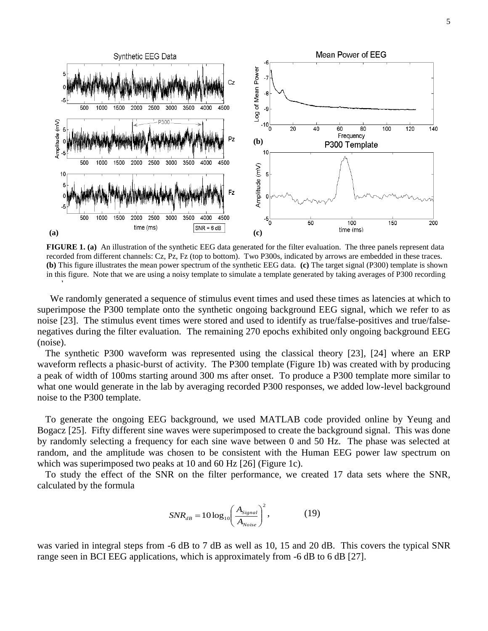

**FIGURE 1. (a)** An illustration of the synthetic EEG data generated for the filter evaluation. The three panels represent data recorded from different channels: Cz, Pz, Fz (top to bottom). Two P300s, indicated by arrows are embedded in these traces. **(b)** This figure illustrates the mean power spectrum of the synthetic EEG data. **(c)** The target signal (P300) template is shown in this figure. Note that we are using a noisy template to simulate a template generated by taking averages of P300 recording epochs.

We randomly generated a sequence of stimulus event times and used these times as latencies at which to superimpose the P300 template onto the synthetic ongoing background EEG signal, which we refer to as noise [23]. The stimulus event times were stored and used to identify as true/false-positives and true/falsenegatives during the filter evaluation. The remaining 270 epochs exhibited only ongoing background EEG (noise).

The synthetic P300 waveform was represented using the classical theory [23], [24] where an ERP waveform reflects a phasic-burst of activity. The P300 template (Figure 1b) was created with by producing a peak of width of 100ms starting around 300 ms after onset. To produce a P300 template more similar to what one would generate in the lab by averaging recorded P300 responses, we added low-level background noise to the P300 template.

To generate the ongoing EEG background, we used MATLAB code provided online by Yeung and Bogacz [25]. Fifty different sine waves were superimposed to create the background signal. This was done by randomly selecting a frequency for each sine wave between 0 and 50 Hz. The phase was selected at random, and the amplitude was chosen to be consistent with the Human EEG power law spectrum on which was superimposed two peaks at 10 and 60 Hz [26] (Figure 1c).

To study the effect of the SNR on the filter performance, we created 17 data sets where the SNR, calculated by the formula

$$
SNR_{dB} = 10 \log_{10} \left( \frac{A_{Signal}}{A_{Noise}} \right)^2, \tag{19}
$$

was varied in integral steps from -6 dB to 7 dB as well as 10, 15 and 20 dB. This covers the typical SNR range seen in BCI EEG applications, which is approximately from -6 dB to 6 dB [27].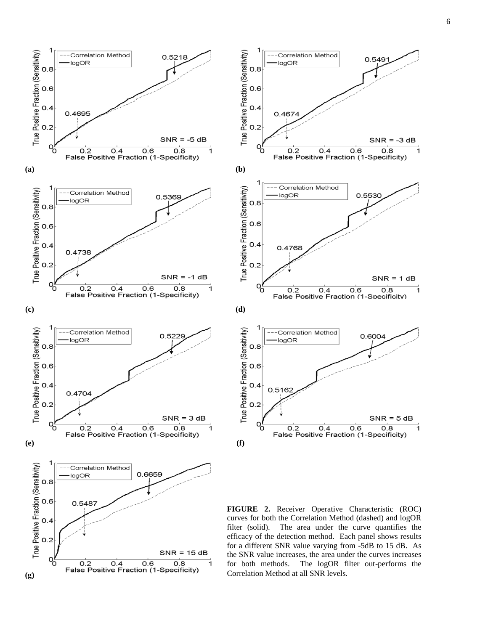0.549

0.5530

0.6004

 $SNR = -3 dB$ 

 $SNR = 1 dB$ 

 $SNR = 5 dB$ 

1

 $\overline{\mathbf{1}}$ 

7



**FIGURE 2.** Receiver Operative Characteristic (ROC) curves for both the Correlation Method (dashed) and logOR filter (solid). The area under the curve quantifies the efficacy of the detection method. Each panel shows results for a different SNR value varying from -5dB to 15 dB. As the SNR value increases, the area under the curves increases for both methods. The logOR filter out-performs the Correlation Method at all SNR levels.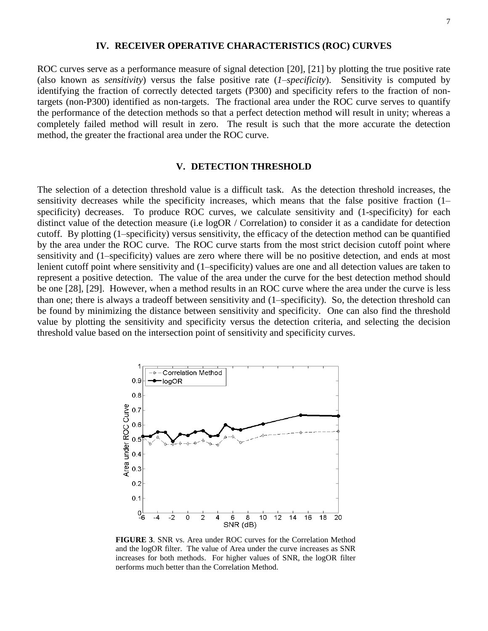## **IV. RECEIVER OPERATIVE CHARACTERISTICS (ROC) CURVES**

ROC curves serve as a performance measure of signal detection [20], [21] by plotting the true positive rate (also known as *sensitivity*) versus the false positive rate (*1–specificity*). Sensitivity is computed by identifying the fraction of correctly detected targets (P300) and specificity refers to the fraction of nontargets (non-P300) identified as non-targets. The fractional area under the ROC curve serves to quantify the performance of the detection methods so that a perfect detection method will result in unity; whereas a completely failed method will result in zero. The result is such that the more accurate the detection method, the greater the fractional area under the ROC curve.

### **V. DETECTION THRESHOLD**

The selection of a detection threshold value is a difficult task. As the detection threshold increases, the sensitivity decreases while the specificity increases, which means that the false positive fraction (1– specificity) decreases. To produce ROC curves, we calculate sensitivity and (1-specificity) for each distinct value of the detection measure (i.e logOR / Correlation) to consider it as a candidate for detection cutoff. By plotting (1–specificity) versus sensitivity, the efficacy of the detection method can be quantified by the area under the ROC curve. The ROC curve starts from the most strict decision cutoff point where sensitivity and (1–specificity) values are zero where there will be no positive detection, and ends at most lenient cutoff point where sensitivity and (1–specificity) values are one and all detection values are taken to represent a positive detection. The value of the area under the curve for the best detection method should be one [28], [29]. However, when a method results in an ROC curve where the area under the curve is less than one; there is always a tradeoff between sensitivity and (1–specificity). So, the detection threshold can be found by minimizing the distance between sensitivity and specificity. One can also find the threshold value by plotting the sensitivity and specificity versus the detection criteria, and selecting the decision threshold value based on the intersection point of sensitivity and specificity curves.



**FIGURE 3**. SNR vs. Area under ROC curves for the Correlation Method and the logOR filter. The value of Area under the curve increases as SNR increases for both methods. For higher values of SNR, the logOR filter performs much better than the Correlation Method.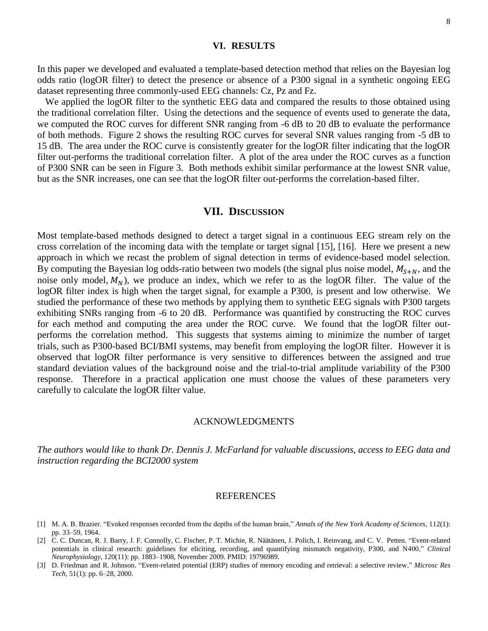#### **VI. RESULTS**

In this paper we developed and evaluated a template-based detection method that relies on the Bayesian log odds ratio (logOR filter) to detect the presence or absence of a P300 signal in a synthetic ongoing EEG dataset representing three commonly-used EEG channels: Cz, Pz and Fz.

We applied the logOR filter to the synthetic EEG data and compared the results to those obtained using the traditional correlation filter. Using the detections and the sequence of events used to generate the data, we computed the ROC curves for different SNR ranging from -6 dB to 20 dB to evaluate the performance of both methods. Figure 2 shows the resulting ROC curves for several SNR values ranging from -5 dB to 15 dB. The area under the ROC curve is consistently greater for the logOR filter indicating that the logOR filter out-performs the traditional correlation filter. A plot of the area under the ROC curves as a function of P300 SNR can be seen in Figure 3. Both methods exhibit similar performance at the lowest SNR value, but as the SNR increases, one can see that the logOR filter out-performs the correlation-based filter.

## **VII. DISCUSSION**

Most template-based methods designed to detect a target signal in a continuous EEG stream rely on the cross correlation of the incoming data with the template or target signal [15], [16]. Here we present a new approach in which we recast the problem of signal detection in terms of evidence-based model selection. By computing the Bayesian log odds-ratio between two models (the signal plus noise model,  $M_{S+N}$ , and the noise only model,  $M_N$ ), we produce an index, which we refer to as the logOR filter. The value of the logOR filter index is high when the target signal, for example a P300, is present and low otherwise. We studied the performance of these two methods by applying them to synthetic EEG signals with P300 targets exhibiting SNRs ranging from -6 to 20 dB. Performance was quantified by constructing the ROC curves for each method and computing the area under the ROC curve. We found that the logOR filter outperforms the correlation method. This suggests that systems aiming to minimize the number of target trials, such as P300-based BCI/BMI systems, may benefit from employing the logOR filter. However it is observed that logOR filter performance is very sensitive to differences between the assigned and true standard deviation values of the background noise and the trial-to-trial amplitude variability of the P300 response. Therefore in a practical application one must choose the values of these parameters very carefully to calculate the logOR filter value.

#### ACKNOWLEDGMENTS

*The authors would like to thank Dr. Dennis J. McFarland for valuable discussions, access to EEG data and instruction regarding the BCI2000 system*

#### **REFERENCES**

- [1] M. A. B. Brazier. "Evoked responses recorded from the depths of the human brain," *Annals of the New York Academy of Sciences*, 112(1): pp. 33–59, 1964.
- [2] C. C. Duncan, R. J. Barry, J. F. Connolly, C. Fischer, P. T. Michie, R. Näätänen, J. Polich, I. Reinvang, and C. V. Petten. "Event-related potentials in clinical research: guidelines for eliciting, recording, and quantifying mismatch negativity, P300, and N400," *Clinical Neurophysiology*, 120(11): pp. 1883–1908, November 2009. PMID: 19796989.
- [3] D. Friedman and R. Johnson. "Event-related potential (ERP) studies of memory encoding and retrieval: a selective review," *Microsc Res Tech*, 51(1): pp. 6–28, 2000.